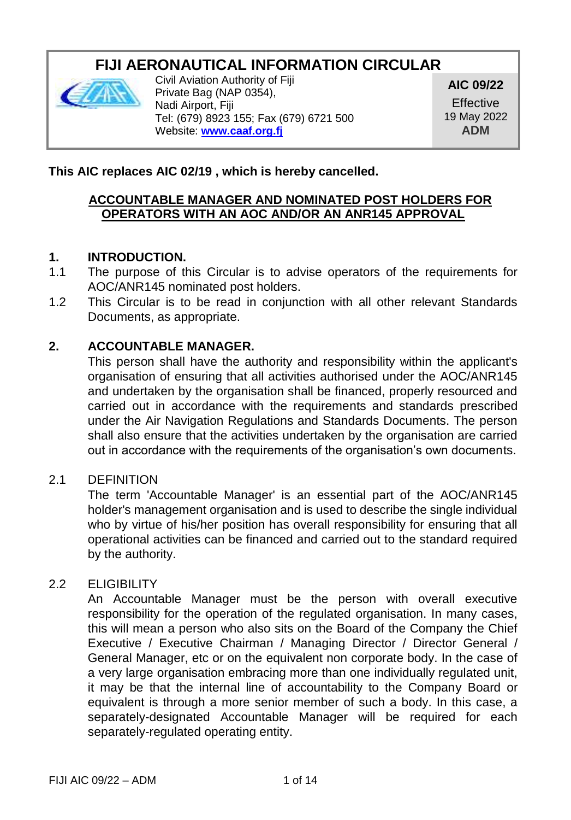# **FIJI AERONAUTICAL INFORMATION CIRCULAR**



Civil Aviation Authority of Fiji Private Bag (NAP 0354), Nadi Airport, Fiji Tel: (679) 8923 155; Fax (679) 6721 500 Website: **[www.caaf.org.fj](http://www.caaf.org.fj/)**

**AIC 09/22**

**Effective** 19 May 2022 **ADM**

### **This AIC replaces AIC 02/19 , which is hereby cancelled.**

#### **ACCOUNTABLE MANAGER AND NOMINATED POST HOLDERS FOR OPERATORS WITH AN AOC AND/OR AN ANR145 APPROVAL**

#### **1. INTRODUCTION.**

- 1.1 The purpose of this Circular is to advise operators of the requirements for AOC/ANR145 nominated post holders.
- 1.2 This Circular is to be read in conjunction with all other relevant Standards Documents, as appropriate.

#### **2. ACCOUNTABLE MANAGER.**

This person shall have the authority and responsibility within the applicant's organisation of ensuring that all activities authorised under the AOC/ANR145 and undertaken by the organisation shall be financed, properly resourced and carried out in accordance with the requirements and standards prescribed under the Air Navigation Regulations and Standards Documents. The person shall also ensure that the activities undertaken by the organisation are carried out in accordance with the requirements of the organisation's own documents.

#### 2.1 DEFINITION

The term 'Accountable Manager' is an essential part of the AOC/ANR145 holder's management organisation and is used to describe the single individual who by virtue of his/her position has overall responsibility for ensuring that all operational activities can be financed and carried out to the standard required by the authority.

## 2.2 ELIGIBILITY

An Accountable Manager must be the person with overall executive responsibility for the operation of the regulated organisation. In many cases, this will mean a person who also sits on the Board of the Company the Chief Executive / Executive Chairman / Managing Director / Director General / General Manager, etc or on the equivalent non corporate body. In the case of a very large organisation embracing more than one individually regulated unit, it may be that the internal line of accountability to the Company Board or equivalent is through a more senior member of such a body. In this case, a separately-designated Accountable Manager will be required for each separately-regulated operating entity.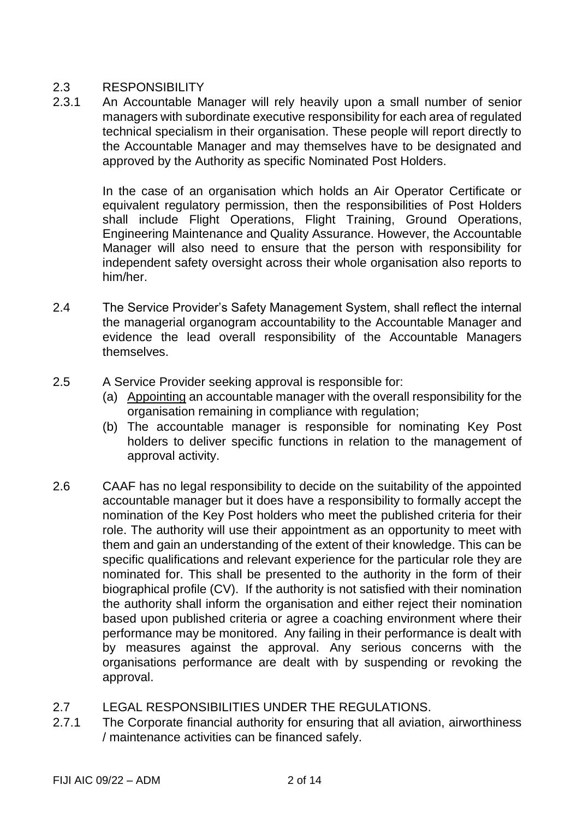### 2.3 RESPONSIBILITY

2.3.1 An Accountable Manager will rely heavily upon a small number of senior managers with subordinate executive responsibility for each area of regulated technical specialism in their organisation. These people will report directly to the Accountable Manager and may themselves have to be designated and approved by the Authority as specific Nominated Post Holders.

> In the case of an organisation which holds an Air Operator Certificate or equivalent regulatory permission, then the responsibilities of Post Holders shall include Flight Operations, Flight Training, Ground Operations, Engineering Maintenance and Quality Assurance. However, the Accountable Manager will also need to ensure that the person with responsibility for independent safety oversight across their whole organisation also reports to him/her.

- 2.4 The Service Provider's Safety Management System, shall reflect the internal the managerial organogram accountability to the Accountable Manager and evidence the lead overall responsibility of the Accountable Managers themselves.
- 2.5 A Service Provider seeking approval is responsible for:
	- (a) Appointing an accountable manager with the overall responsibility for the organisation remaining in compliance with regulation;
	- (b) The accountable manager is responsible for nominating Key Post holders to deliver specific functions in relation to the management of approval activity.
- 2.6 CAAF has no legal responsibility to decide on the suitability of the appointed accountable manager but it does have a responsibility to formally accept the nomination of the Key Post holders who meet the published criteria for their role. The authority will use their appointment as an opportunity to meet with them and gain an understanding of the extent of their knowledge. This can be specific qualifications and relevant experience for the particular role they are nominated for. This shall be presented to the authority in the form of their biographical profile (CV). If the authority is not satisfied with their nomination the authority shall inform the organisation and either reject their nomination based upon published criteria or agree a coaching environment where their performance may be monitored. Any failing in their performance is dealt with by measures against the approval. Any serious concerns with the organisations performance are dealt with by suspending or revoking the approval.
- 2.7 LEGAL RESPONSIBILITIES UNDER THE REGULATIONS.
- 2.7.1 The Corporate financial authority for ensuring that all aviation, airworthiness / maintenance activities can be financed safely.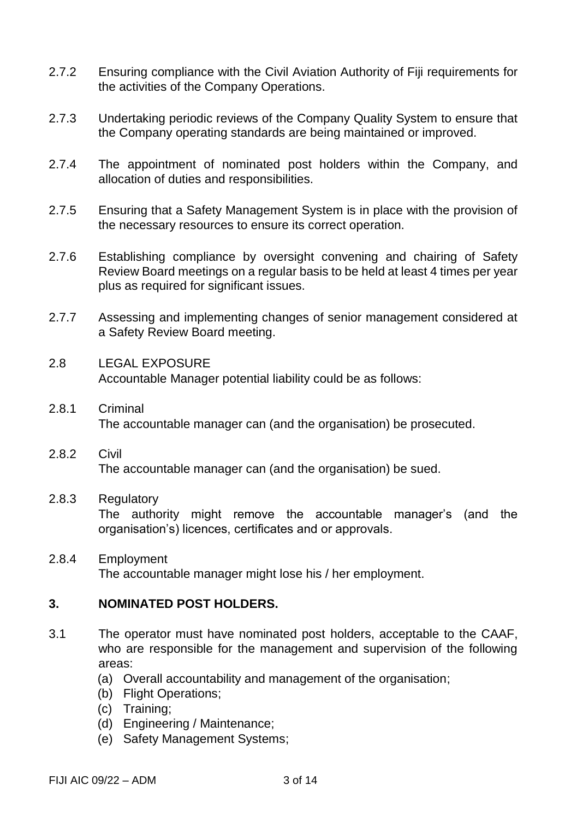- 2.7.2 Ensuring compliance with the Civil Aviation Authority of Fiji requirements for the activities of the Company Operations.
- 2.7.3 Undertaking periodic reviews of the Company Quality System to ensure that the Company operating standards are being maintained or improved.
- 2.7.4 The appointment of nominated post holders within the Company, and allocation of duties and responsibilities.
- 2.7.5 Ensuring that a Safety Management System is in place with the provision of the necessary resources to ensure its correct operation.
- 2.7.6 Establishing compliance by oversight convening and chairing of Safety Review Board meetings on a regular basis to be held at least 4 times per year plus as required for significant issues.
- 2.7.7 Assessing and implementing changes of senior management considered at a Safety Review Board meeting.
- 2.8 LEGAL EXPOSURE Accountable Manager potential liability could be as follows:
- 2.8.1 Criminal The accountable manager can (and the organisation) be prosecuted.
- 2.8.2 Civil The accountable manager can (and the organisation) be sued.

#### 2.8.3 Regulatory

The authority might remove the accountable manager's (and the organisation's) licences, certificates and or approvals.

2.8.4 Employment The accountable manager might lose his / her employment.

### **3. NOMINATED POST HOLDERS.**

- 3.1 The operator must have nominated post holders, acceptable to the CAAF, who are responsible for the management and supervision of the following areas:
	- (a) Overall accountability and management of the organisation;
	- (b) Flight Operations;
	- (c) Training;
	- (d) Engineering / Maintenance;
	- (e) Safety Management Systems;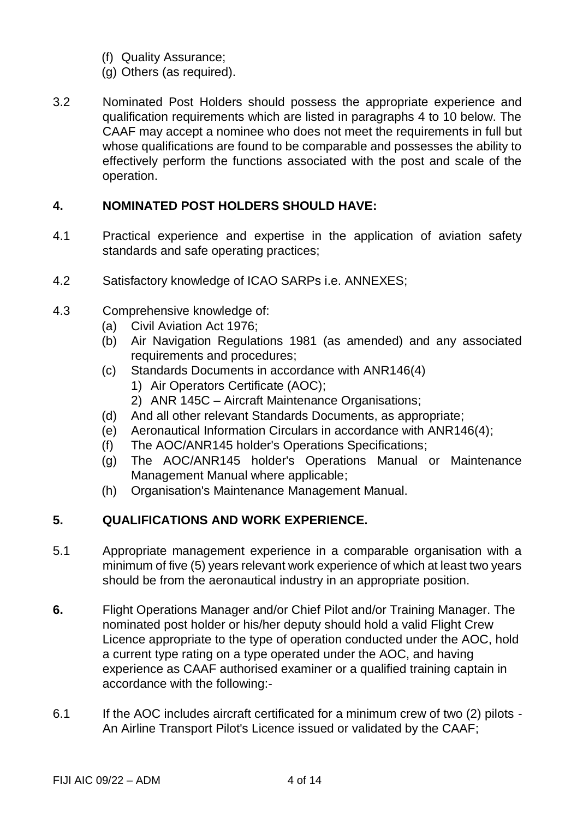- (f) Quality Assurance;
- (g) Others (as required).
- 3.2 Nominated Post Holders should possess the appropriate experience and qualification requirements which are listed in paragraphs 4 to 10 below. The CAAF may accept a nominee who does not meet the requirements in full but whose qualifications are found to be comparable and possesses the ability to effectively perform the functions associated with the post and scale of the operation.

## **4. NOMINATED POST HOLDERS SHOULD HAVE:**

- 4.1 Practical experience and expertise in the application of aviation safety standards and safe operating practices;
- 4.2 Satisfactory knowledge of ICAO SARPs i.e. ANNEXES;
- 4.3 Comprehensive knowledge of:
	- (a) Civil Aviation Act 1976;
	- (b) Air Navigation Regulations 1981 (as amended) and any associated requirements and procedures;
	- (c) Standards Documents in accordance with ANR146(4)
		- 1) Air Operators Certificate (AOC);
		- 2) ANR 145C Aircraft Maintenance Organisations;
	- (d) And all other relevant Standards Documents, as appropriate;
	- (e) Aeronautical Information Circulars in accordance with ANR146(4);
	- (f) The AOC/ANR145 holder's Operations Specifications;
	- (g) The AOC/ANR145 holder's Operations Manual or Maintenance Management Manual where applicable;
	- (h) Organisation's Maintenance Management Manual.

# **5. QUALIFICATIONS AND WORK EXPERIENCE.**

- 5.1 Appropriate management experience in a comparable organisation with a minimum of five (5) years relevant work experience of which at least two years should be from the aeronautical industry in an appropriate position.
- **6.** Flight Operations Manager and/or Chief Pilot and/or Training Manager. The nominated post holder or his/her deputy should hold a valid Flight Crew Licence appropriate to the type of operation conducted under the AOC, hold a current type rating on a type operated under the AOC, and having experience as CAAF authorised examiner or a qualified training captain in accordance with the following:-
- 6.1 If the AOC includes aircraft certificated for a minimum crew of two (2) pilots An Airline Transport Pilot's Licence issued or validated by the CAAF;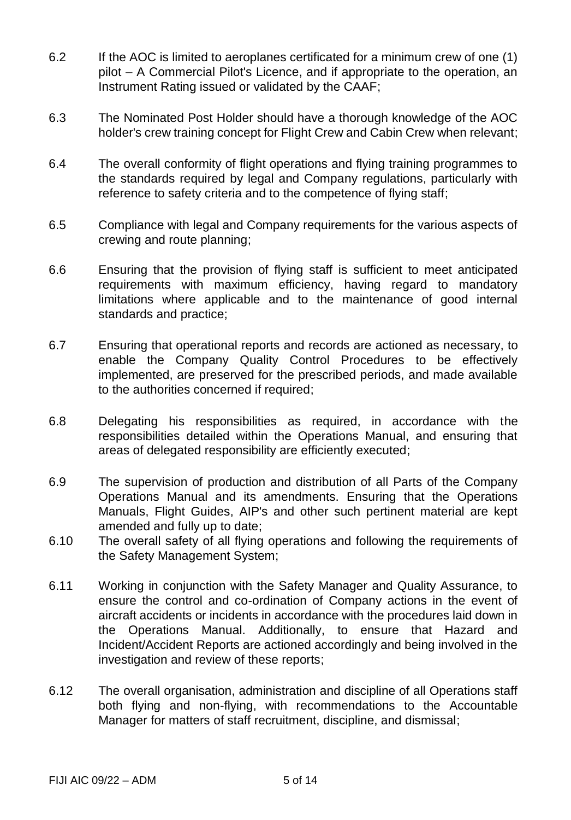- 6.2 If the AOC is limited to aeroplanes certificated for a minimum crew of one (1) pilot – A Commercial Pilot's Licence, and if appropriate to the operation, an Instrument Rating issued or validated by the CAAF;
- 6.3 The Nominated Post Holder should have a thorough knowledge of the AOC holder's crew training concept for Flight Crew and Cabin Crew when relevant;
- 6.4 The overall conformity of flight operations and flying training programmes to the standards required by legal and Company regulations, particularly with reference to safety criteria and to the competence of flying staff;
- 6.5 Compliance with legal and Company requirements for the various aspects of crewing and route planning;
- 6.6 Ensuring that the provision of flying staff is sufficient to meet anticipated requirements with maximum efficiency, having regard to mandatory limitations where applicable and to the maintenance of good internal standards and practice;
- 6.7 Ensuring that operational reports and records are actioned as necessary, to enable the Company Quality Control Procedures to be effectively implemented, are preserved for the prescribed periods, and made available to the authorities concerned if required;
- 6.8 Delegating his responsibilities as required, in accordance with the responsibilities detailed within the Operations Manual, and ensuring that areas of delegated responsibility are efficiently executed;
- 6.9 The supervision of production and distribution of all Parts of the Company Operations Manual and its amendments. Ensuring that the Operations Manuals, Flight Guides, AIP's and other such pertinent material are kept amended and fully up to date;
- 6.10 The overall safety of all flying operations and following the requirements of the Safety Management System;
- 6.11 Working in conjunction with the Safety Manager and Quality Assurance, to ensure the control and co-ordination of Company actions in the event of aircraft accidents or incidents in accordance with the procedures laid down in the Operations Manual. Additionally, to ensure that Hazard and Incident/Accident Reports are actioned accordingly and being involved in the investigation and review of these reports;
- 6.12 The overall organisation, administration and discipline of all Operations staff both flying and non-flying, with recommendations to the Accountable Manager for matters of staff recruitment, discipline, and dismissal;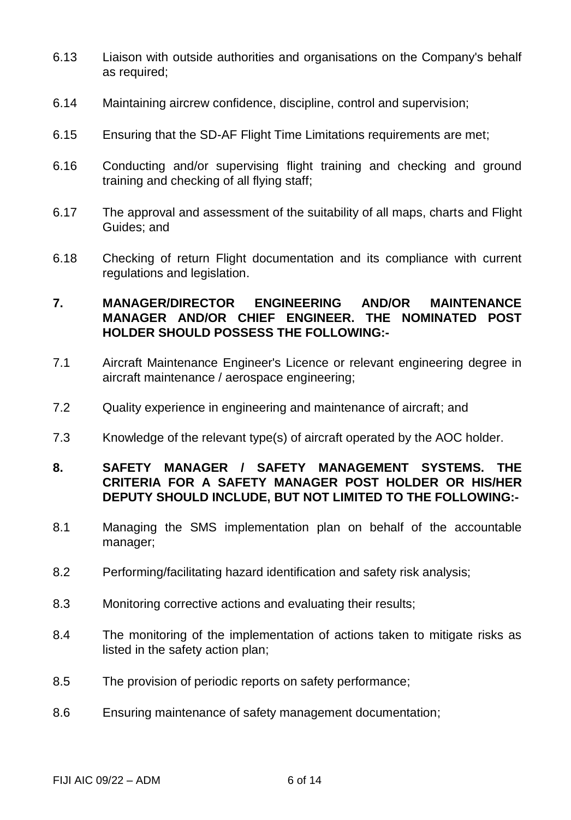- 6.13 Liaison with outside authorities and organisations on the Company's behalf as required;
- 6.14 Maintaining aircrew confidence, discipline, control and supervision;
- 6.15 Ensuring that the SD-AF Flight Time Limitations requirements are met;
- 6.16 Conducting and/or supervising flight training and checking and ground training and checking of all flying staff;
- 6.17 The approval and assessment of the suitability of all maps, charts and Flight Guides; and
- 6.18 Checking of return Flight documentation and its compliance with current regulations and legislation.

### **7. MANAGER/DIRECTOR ENGINEERING AND/OR MAINTENANCE MANAGER AND/OR CHIEF ENGINEER. THE NOMINATED POST HOLDER SHOULD POSSESS THE FOLLOWING:-**

- 7.1 Aircraft Maintenance Engineer's Licence or relevant engineering degree in aircraft maintenance / aerospace engineering;
- 7.2 Quality experience in engineering and maintenance of aircraft; and
- 7.3 Knowledge of the relevant type(s) of aircraft operated by the AOC holder.

#### **8. SAFETY MANAGER / SAFETY MANAGEMENT SYSTEMS. THE CRITERIA FOR A SAFETY MANAGER POST HOLDER OR HIS/HER DEPUTY SHOULD INCLUDE, BUT NOT LIMITED TO THE FOLLOWING:-**

- 8.1 Managing the SMS implementation plan on behalf of the accountable manager;
- 8.2 Performing/facilitating hazard identification and safety risk analysis;
- 8.3 Monitoring corrective actions and evaluating their results;
- 8.4 The monitoring of the implementation of actions taken to mitigate risks as listed in the safety action plan;
- 8.5 The provision of periodic reports on safety performance;
- 8.6 Ensuring maintenance of safety management documentation;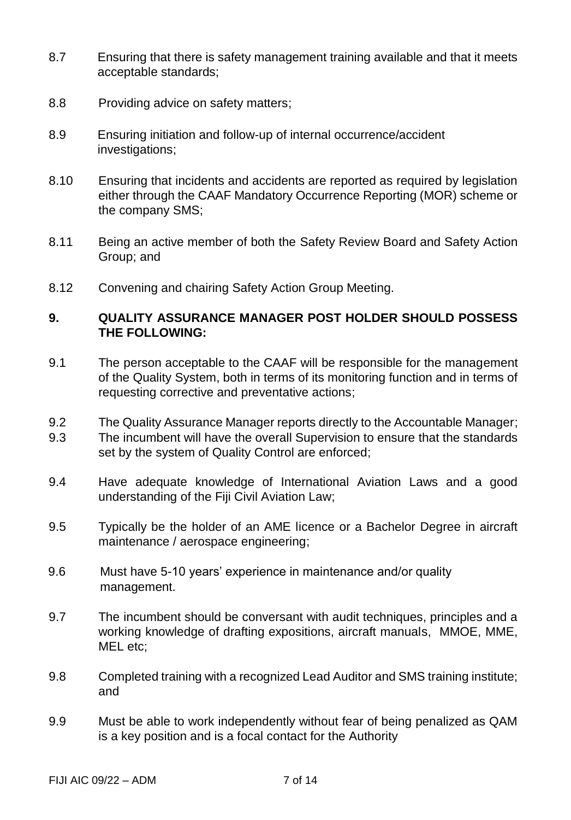- 8.7 Ensuring that there is safety management training available and that it meets acceptable standards;
- 8.8 Providing advice on safety matters;
- 8.9 Ensuring initiation and follow-up of internal occurrence/accident investigations;
- 8.10 Ensuring that incidents and accidents are reported as required by legislation either through the CAAF Mandatory Occurrence Reporting (MOR) scheme or the company SMS;
- 8.11 Being an active member of both the Safety Review Board and Safety Action Group; and
- 8.12 Convening and chairing Safety Action Group Meeting.

### **9. QUALITY ASSURANCE MANAGER POST HOLDER SHOULD POSSESS THE FOLLOWING:**

- 9.1 The person acceptable to the CAAF will be responsible for the management of the Quality System, both in terms of its monitoring function and in terms of requesting corrective and preventative actions;
- 9.2 The Quality Assurance Manager reports directly to the Accountable Manager;
- 9.3 The incumbent will have the overall Supervision to ensure that the standards set by the system of Quality Control are enforced;
- 9.4 Have adequate knowledge of International Aviation Laws and a good understanding of the Fiji Civil Aviation Law;
- 9.5 Typically be the holder of an AME licence or a Bachelor Degree in aircraft maintenance / aerospace engineering;
- 9.6 Must have 5-10 years' experience in maintenance and/or quality management.
- 9.7 The incumbent should be conversant with audit techniques, principles and a working knowledge of drafting expositions, aircraft manuals, MMOE, MME, MEL etc;
- 9.8 Completed training with a recognized Lead Auditor and SMS training institute; and
- 9.9 Must be able to work independently without fear of being penalized as QAM is a key position and is a focal contact for the Authority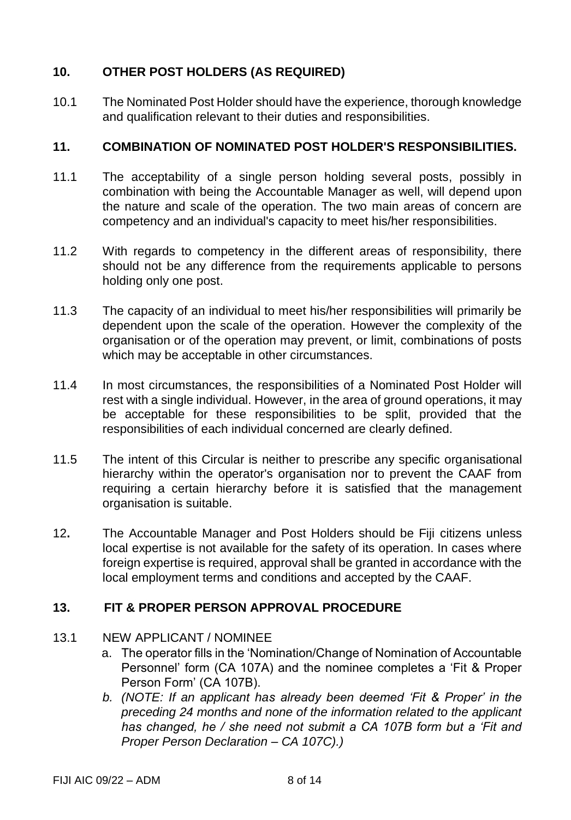# **10. OTHER POST HOLDERS (AS REQUIRED)**

10.1 The Nominated Post Holder should have the experience, thorough knowledge and qualification relevant to their duties and responsibilities.

#### **11. COMBINATION OF NOMINATED POST HOLDER'S RESPONSIBILITIES.**

- 11.1 The acceptability of a single person holding several posts, possibly in combination with being the Accountable Manager as well, will depend upon the nature and scale of the operation. The two main areas of concern are competency and an individual's capacity to meet his/her responsibilities.
- 11.2 With regards to competency in the different areas of responsibility, there should not be any difference from the requirements applicable to persons holding only one post.
- 11.3 The capacity of an individual to meet his/her responsibilities will primarily be dependent upon the scale of the operation. However the complexity of the organisation or of the operation may prevent, or limit, combinations of posts which may be acceptable in other circumstances.
- 11.4 In most circumstances, the responsibilities of a Nominated Post Holder will rest with a single individual. However, in the area of ground operations, it may be acceptable for these responsibilities to be split, provided that the responsibilities of each individual concerned are clearly defined.
- 11.5 The intent of this Circular is neither to prescribe any specific organisational hierarchy within the operator's organisation nor to prevent the CAAF from requiring a certain hierarchy before it is satisfied that the management organisation is suitable.
- 12**.** The Accountable Manager and Post Holders should be Fiji citizens unless local expertise is not available for the safety of its operation. In cases where foreign expertise is required, approval shall be granted in accordance with the local employment terms and conditions and accepted by the CAAF.

### **13. FIT & PROPER PERSON APPROVAL PROCEDURE**

- 13.1 NEW APPLICANT / NOMINEE
	- a. The operator fills in the 'Nomination/Change of Nomination of Accountable Personnel' form (CA 107A) and the nominee completes a 'Fit & Proper Person Form' (CA 107B).
	- *b. (NOTE: If an applicant has already been deemed 'Fit & Proper' in the preceding 24 months and none of the information related to the applicant has changed, he / she need not submit a CA 107B form but a 'Fit and Proper Person Declaration – CA 107C).)*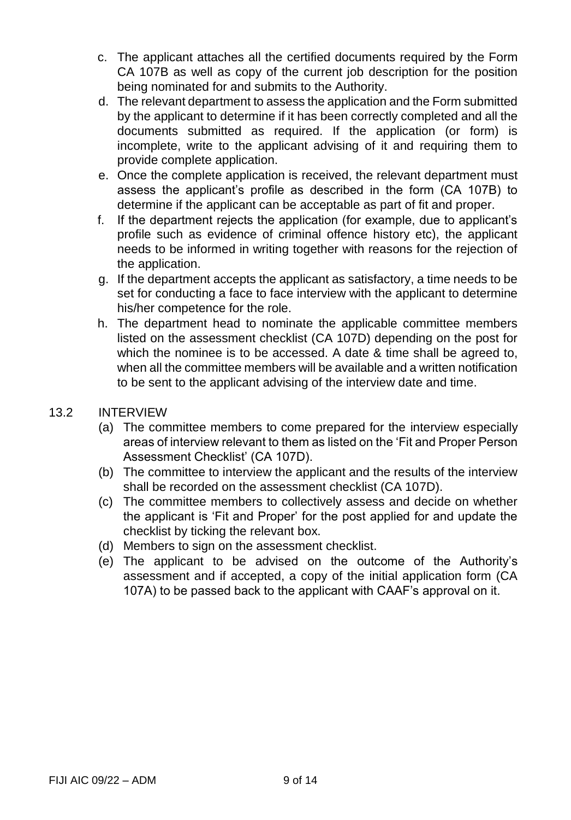- c. The applicant attaches all the certified documents required by the Form CA 107B as well as copy of the current job description for the position being nominated for and submits to the Authority.
- d. The relevant department to assess the application and the Form submitted by the applicant to determine if it has been correctly completed and all the documents submitted as required. If the application (or form) is incomplete, write to the applicant advising of it and requiring them to provide complete application.
- e. Once the complete application is received, the relevant department must assess the applicant's profile as described in the form (CA 107B) to determine if the applicant can be acceptable as part of fit and proper.
- f. If the department rejects the application (for example, due to applicant's profile such as evidence of criminal offence history etc), the applicant needs to be informed in writing together with reasons for the rejection of the application.
- g. If the department accepts the applicant as satisfactory, a time needs to be set for conducting a face to face interview with the applicant to determine his/her competence for the role.
- h. The department head to nominate the applicable committee members listed on the assessment checklist (CA 107D) depending on the post for which the nominee is to be accessed. A date & time shall be agreed to, when all the committee members will be available and a written notification to be sent to the applicant advising of the interview date and time.
- 13.2 INTERVIEW
	- (a) The committee members to come prepared for the interview especially areas of interview relevant to them as listed on the 'Fit and Proper Person Assessment Checklist' (CA 107D).
	- (b) The committee to interview the applicant and the results of the interview shall be recorded on the assessment checklist (CA 107D).
	- (c) The committee members to collectively assess and decide on whether the applicant is 'Fit and Proper' for the post applied for and update the checklist by ticking the relevant box.
	- (d) Members to sign on the assessment checklist.
	- (e) The applicant to be advised on the outcome of the Authority's assessment and if accepted, a copy of the initial application form (CA 107A) to be passed back to the applicant with CAAF's approval on it.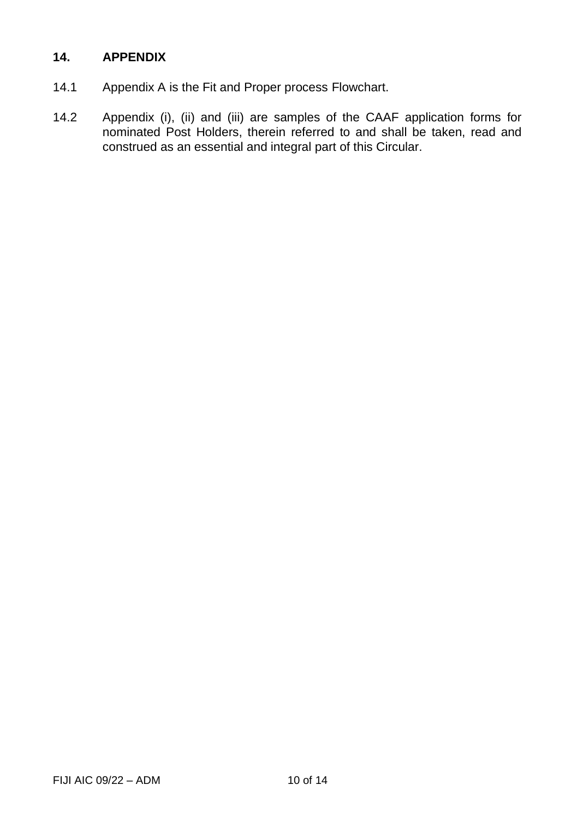### **14. APPENDIX**

- 14.1 Appendix A is the Fit and Proper process Flowchart.
- 14.2 Appendix (i), (ii) and (iii) are samples of the CAAF application forms for nominated Post Holders, therein referred to and shall be taken, read and construed as an essential and integral part of this Circular.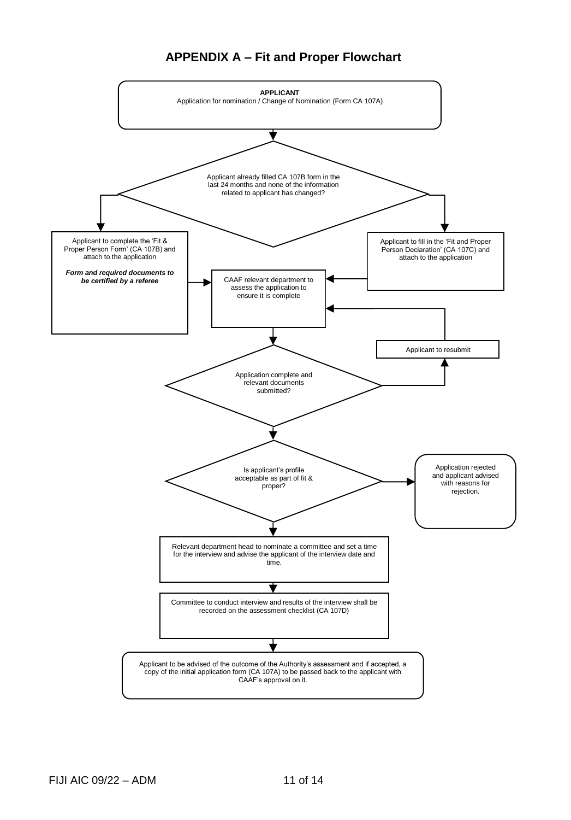#### **APPENDIX A – Fit and Proper Flowchart**

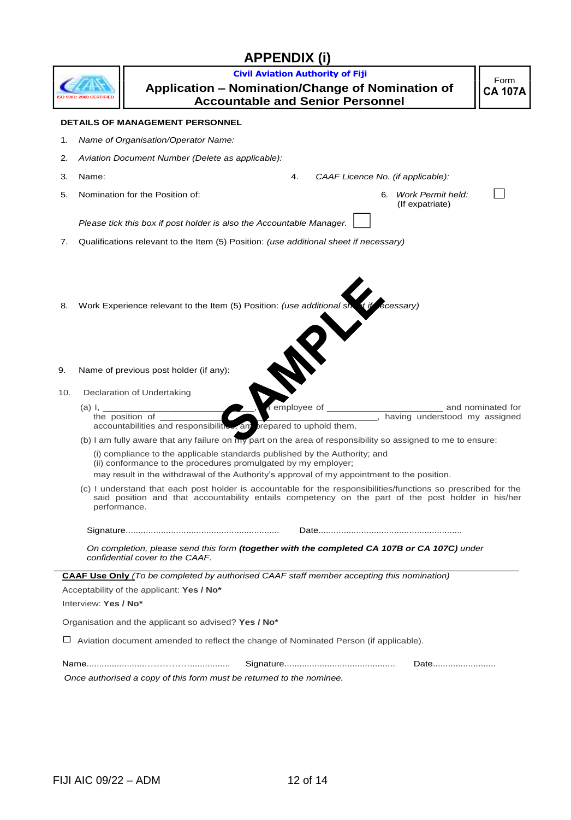# **APPENDIX (i)**

|                                                                                                                                |                                                                                                                                                                                                                                      | <b>Civil Aviation Authority of Fiji</b>                                                                                                      |  |  |  |
|--------------------------------------------------------------------------------------------------------------------------------|--------------------------------------------------------------------------------------------------------------------------------------------------------------------------------------------------------------------------------------|----------------------------------------------------------------------------------------------------------------------------------------------|--|--|--|
|                                                                                                                                |                                                                                                                                                                                                                                      | Application - Nomination/Change of Nomination of<br><b>Accountable and Senior Personnel</b>                                                  |  |  |  |
|                                                                                                                                |                                                                                                                                                                                                                                      | <b>DETAILS OF MANAGEMENT PERSONNEL</b>                                                                                                       |  |  |  |
| 1.                                                                                                                             | Name of Organisation/Operator Name:                                                                                                                                                                                                  |                                                                                                                                              |  |  |  |
| 2.                                                                                                                             | Aviation Document Number (Delete as applicable):                                                                                                                                                                                     |                                                                                                                                              |  |  |  |
| 3.                                                                                                                             | Name:                                                                                                                                                                                                                                | 4.<br>CAAF Licence No. (if applicable):                                                                                                      |  |  |  |
| 5.                                                                                                                             |                                                                                                                                                                                                                                      | Nomination for the Position of:<br>6. Work Permit held:<br>(If expatriate)                                                                   |  |  |  |
|                                                                                                                                | Please tick this box if post holder is also the Accountable Manager.                                                                                                                                                                 |                                                                                                                                              |  |  |  |
| 7.                                                                                                                             |                                                                                                                                                                                                                                      | Qualifications relevant to the Item (5) Position: (use additional sheet if necessary)                                                        |  |  |  |
| 8.                                                                                                                             | Work Experience relevant to the Item (5) Position: (use additional si<br>écessary)                                                                                                                                                   |                                                                                                                                              |  |  |  |
| 9.                                                                                                                             |                                                                                                                                                                                                                                      | Name of previous post holder (if any):                                                                                                       |  |  |  |
| 10.                                                                                                                            |                                                                                                                                                                                                                                      | Declaration of Undertaking                                                                                                                   |  |  |  |
|                                                                                                                                | and nominated for<br>(a) I.<br>employee of<br>, having understood my assigned<br>the position of<br>accountabilities and responsibilitie<br>brepared to uphold them.<br>am                                                           |                                                                                                                                              |  |  |  |
|                                                                                                                                |                                                                                                                                                                                                                                      | (b) I am fully aware that any failure on my part on the area of responsibility so assigned to me to ensure:                                  |  |  |  |
|                                                                                                                                |                                                                                                                                                                                                                                      | (i) compliance to the applicable standards published by the Authority; and<br>(ii) conformance to the procedures promulgated by my employer; |  |  |  |
|                                                                                                                                |                                                                                                                                                                                                                                      | may result in the withdrawal of the Authority's approval of my appointment to the position.                                                  |  |  |  |
|                                                                                                                                | (c) I understand that each post holder is accountable for the responsibilities/functions so prescribed for the<br>said position and that accountability entails competency on the part of the post holder in his/her<br>performance. |                                                                                                                                              |  |  |  |
|                                                                                                                                |                                                                                                                                                                                                                                      |                                                                                                                                              |  |  |  |
| On completion, please send this form (together with the completed CA 107B or CA 107C) under<br>confidential cover to the CAAF. |                                                                                                                                                                                                                                      |                                                                                                                                              |  |  |  |
|                                                                                                                                |                                                                                                                                                                                                                                      | CAAF Use Only (To be completed by authorised CAAF staff member accepting this nomination)                                                    |  |  |  |
|                                                                                                                                |                                                                                                                                                                                                                                      | Acceptability of the applicant: Yes / No*                                                                                                    |  |  |  |
|                                                                                                                                | Interview: Yes / No*                                                                                                                                                                                                                 |                                                                                                                                              |  |  |  |
|                                                                                                                                |                                                                                                                                                                                                                                      | Organisation and the applicant so advised? Yes / No*                                                                                         |  |  |  |
| $\Box$ Aviation document amended to reflect the change of Nominated Person (if applicable).                                    |                                                                                                                                                                                                                                      |                                                                                                                                              |  |  |  |
|                                                                                                                                |                                                                                                                                                                                                                                      | Date                                                                                                                                         |  |  |  |
|                                                                                                                                |                                                                                                                                                                                                                                      | Once authorised a copy of this form must be returned to the nominee.                                                                         |  |  |  |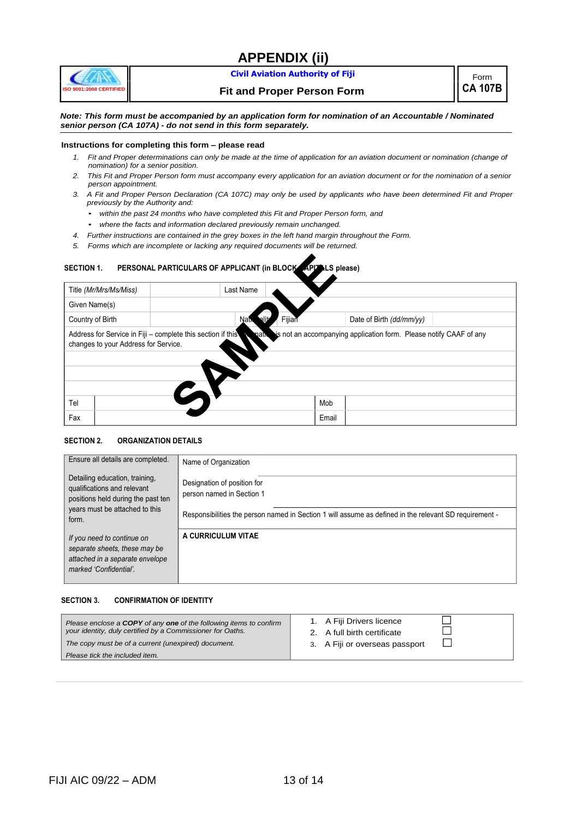# **APPENDIX (ii)**



#### **Civil Aviation Authority of Fiji Form**

**Fit and Proper Person Form CA 107B**

*Note: This form must be accompanied by an application form for nomination of an Accountable / Nominated senior person (CA 107A) - do not send in this form separately.*

#### **Instructions for completing this form – please read**

- *1. Fit and Proper determinations can only be made at the time of application for an aviation document or nomination (change of nomination) for a senior position.*
- *2. This Fit and Proper Person form must accompany every application for an aviation document or for the nomination of a senior person appointment.*
- *3. A Fit and Proper Person Declaration (CA 107C) may only be used by applicants who have been determined Fit and Proper previously by the Authority and:*
	- *within the past 24 months who have completed this Fit and Proper Person form, and*
	- *where the facts and information declared previously remain unchanged.*
- *4. Further instructions are contained in the grey boxes in the left hand margin throughout the Form.*
- *5. Forms which are incomplete or lacking any required documents will be returned.*

#### SECTION 1. **PERSONAL PARTICULARS OF APPLICANT** (in BLOCK APITALS please)

| Title (Mr/Mrs/Ms/Miss)                                                                                                                                                    | Last Name      |                          |  |  |  |
|---------------------------------------------------------------------------------------------------------------------------------------------------------------------------|----------------|--------------------------|--|--|--|
| Given Name(s)                                                                                                                                                             |                |                          |  |  |  |
| Country of Birth                                                                                                                                                          | Fijian<br>Nati | Date of Birth (dd/mm/yy) |  |  |  |
| Address for Service in Fiji - complete this section if this<br>is not an accompanying application form. Please notify CAAF of any<br>changes to your Address for Service. |                |                          |  |  |  |
| Tel                                                                                                                                                                       |                | Mob                      |  |  |  |
| Fax                                                                                                                                                                       |                | Email                    |  |  |  |

#### **SECTION 2. ORGANIZATION DETAILS**

| Ensure all details are completed.                                                                                        | Name of Organization                                                                                   |
|--------------------------------------------------------------------------------------------------------------------------|--------------------------------------------------------------------------------------------------------|
| Detailing education, training,<br>qualifications and relevant<br>positions held during the past ten                      | Designation of position for<br>person named in Section 1                                               |
| years must be attached to this<br>form.                                                                                  | Responsibilities the person named in Section 1 will assume as defined in the relevant SD requirement - |
| If you need to continue on<br>separate sheets, these may be<br>attached in a separate envelope<br>marked 'Confidential'. | A CURRICULUM VITAE                                                                                     |

#### **SECTION 3. CONFIRMATION OF IDENTITY**

| Please enclose a COPY of any one of the following items to confirm<br>your identity, duly certified by a Commissioner for Oaths.<br>The copy must be of a current (unexpired) document.<br>Please tick the included item. | 1. A Fiji Drivers licence<br>2. A full birth certificate<br>3. A Fiji or overseas passport |
|---------------------------------------------------------------------------------------------------------------------------------------------------------------------------------------------------------------------------|--------------------------------------------------------------------------------------------|
|---------------------------------------------------------------------------------------------------------------------------------------------------------------------------------------------------------------------------|--------------------------------------------------------------------------------------------|